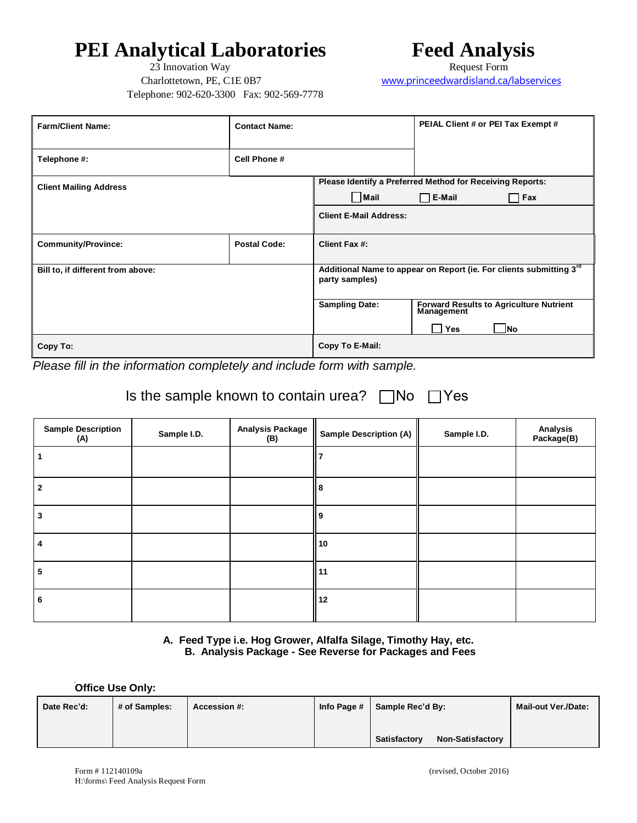## **PEI Analytical Laboratories** Feed Analysis Feed Form 23 Innovation Way 23 Innovation Way

Telephone: 902-620-3300 Fax: 902-569-7778

Charlottetown, PE, C1E 0B7 www.princeedwardisland.ca/labservices

| <b>Farm/Client Name:</b>          | <b>Contact Name:</b> |                               | PEIAL Client # or PEI Tax Exempt #                                           |
|-----------------------------------|----------------------|-------------------------------|------------------------------------------------------------------------------|
| Telephone #:                      | Cell Phone #         |                               |                                                                              |
| <b>Client Mailing Address</b>     |                      |                               | Please Identify a Preferred Method for Receiving Reports:                    |
|                                   |                      | Mail                          | $\Box$ E-Mail<br>Fax<br>-1                                                   |
|                                   |                      | <b>Client E-Mail Address:</b> |                                                                              |
| <b>Community/Province:</b>        | <b>Postal Code:</b>  | Client Fax #:                 |                                                                              |
| Bill to, if different from above: |                      | party samples)                | Additional Name to appear on Report (ie. For clients submitting 3rd          |
|                                   |                      | <b>Sampling Date:</b>         | Forward Results to Agriculture Nutrient<br>Management<br>- INo<br><b>Yes</b> |
| Copy To:                          |                      | Copy To E-Mail:               |                                                                              |

*Please fill in the information completely and include form with sample.* 

### Is the sample known to contain urea?  $\Box$ No  $\Box$ Yes

| <b>Sample Description</b><br>(A) | Sample I.D. | <b>Analysis Package</b><br>(B) | Sample Description (A) | Sample I.D. | Analysis<br>Package(B) |
|----------------------------------|-------------|--------------------------------|------------------------|-------------|------------------------|
|                                  |             |                                |                        |             |                        |
| 2                                |             |                                | 8                      |             |                        |
| 3                                |             |                                | l 9                    |             |                        |
| 4                                |             |                                | 10                     |             |                        |
| 5                                |             |                                | 11                     |             |                        |
| 6                                |             |                                | 12                     |             |                        |

#### **A. Feed Type i.e. Hog Grower, Alfalfa Silage, Timothy Hay, etc. B. Analysis Package - See Reverse for Packages and Fees**

i. **Office Use Only:** 

| Date Rec'd: | # of Samples: | Accession #: | Info Page # | Sample Rec'd By:                        | Mail-out Ver./Date: |
|-------------|---------------|--------------|-------------|-----------------------------------------|---------------------|
|             |               |              |             | <b>Non-Satisfactory</b><br>Satisfactory |                     |